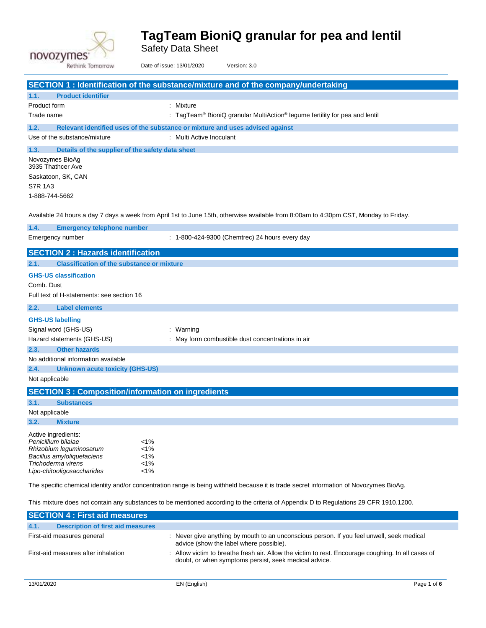

Safety Data Sheet

|                        | Rethink Tomorrow                                  | Date of issue: 13/01/2020<br>Version: 3.0                                                                                              |  |
|------------------------|---------------------------------------------------|----------------------------------------------------------------------------------------------------------------------------------------|--|
|                        |                                                   | SECTION 1: Identification of the substance/mixture and of the company/undertaking                                                      |  |
| 1.1.                   | <b>Product identifier</b>                         |                                                                                                                                        |  |
| Product form           |                                                   | : Mixture                                                                                                                              |  |
| Trade name             |                                                   | : TagTeam® BioniQ granular MultiAction® legume fertility for pea and lentil                                                            |  |
| 1.2.                   |                                                   | Relevant identified uses of the substance or mixture and uses advised against                                                          |  |
|                        | Use of the substance/mixture                      | : Multi Active Inoculant                                                                                                               |  |
| 1.3.                   | Details of the supplier of the safety data sheet  |                                                                                                                                        |  |
|                        | Novozymes BioAq<br>3935 Thathcer Ave              |                                                                                                                                        |  |
|                        | Saskatoon, SK, CAN                                |                                                                                                                                        |  |
| <b>S7R 1A3</b>         |                                                   |                                                                                                                                        |  |
| 1-888-744-5662         |                                                   |                                                                                                                                        |  |
|                        |                                                   | Available 24 hours a day 7 days a week from April 1st to June 15th, otherwise available from 8:00am to 4:30pm CST, Monday to Friday.   |  |
| 1.4.                   | <b>Emergency telephone number</b>                 |                                                                                                                                        |  |
|                        | Emergency number                                  | : 1-800-424-9300 (Chemtrec) 24 hours every day                                                                                         |  |
|                        | <b>SECTION 2: Hazards identification</b>          |                                                                                                                                        |  |
| 2.1.                   | <b>Classification of the substance or mixture</b> |                                                                                                                                        |  |
|                        | <b>GHS-US classification</b>                      |                                                                                                                                        |  |
| Comb. Dust             |                                                   |                                                                                                                                        |  |
|                        | Full text of H-statements: see section 16         |                                                                                                                                        |  |
| 2.2.                   | <b>Label elements</b>                             |                                                                                                                                        |  |
|                        | <b>GHS-US labelling</b>                           |                                                                                                                                        |  |
|                        | Signal word (GHS-US)                              | : Warning                                                                                                                              |  |
|                        | Hazard statements (GHS-US)                        | : May form combustible dust concentrations in air                                                                                      |  |
| 2.3.                   | <b>Other hazards</b>                              |                                                                                                                                        |  |
|                        | No additional information available               |                                                                                                                                        |  |
| 2.4.                   | <b>Unknown acute toxicity (GHS-US)</b>            |                                                                                                                                        |  |
| Not applicable         |                                                   |                                                                                                                                        |  |
|                        |                                                   | <b>SECTION 3: Composition/information on ingredients</b>                                                                               |  |
| 3.1.                   | <b>Substances</b>                                 |                                                                                                                                        |  |
| Not applicable<br>3.2. | <b>Mixture</b>                                    |                                                                                                                                        |  |
|                        |                                                   |                                                                                                                                        |  |
|                        | Active ingredients:<br>Penicillium bilaiae        | $1\%$                                                                                                                                  |  |
|                        | Rhizobium leguminosarum                           | $< 1\%$                                                                                                                                |  |
|                        | Bacillus amyloliquefaciens<br>Trichoderma virens  | $< 1\%$<br>$< 1\%$                                                                                                                     |  |
|                        | Lipo-chitooligosaccharides                        | $< 1\%$                                                                                                                                |  |
|                        |                                                   | The specific chemical identity and/or concentration range is being withheld because it is trade secret information of Novozymes BioAg. |  |

This mixture does not contain any substances to be mentioned according to the criteria of Appendix D to Regulations 29 CFR 1910.1200.

| <b>SECTION 4 : First aid measures</b>            |                                                                                                                                                             |
|--------------------------------------------------|-------------------------------------------------------------------------------------------------------------------------------------------------------------|
| 4.1.<br><b>Description of first aid measures</b> |                                                                                                                                                             |
| First-aid measures general                       | : Never give anything by mouth to an unconscious person. If you feel unwell, seek medical<br>advice (show the label where possible).                        |
| First-aid measures after inhalation              | : Allow victim to breathe fresh air. Allow the victim to rest. Encourage coughing. In all cases of<br>doubt, or when symptoms persist, seek medical advice. |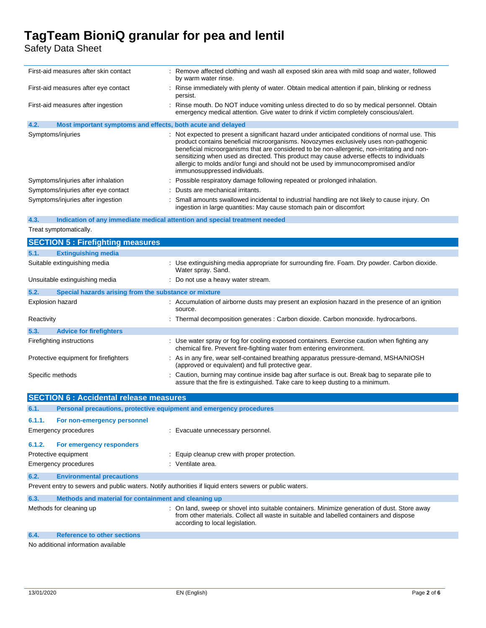Safety Data Sheet

| First-aid measures after skin contact                               | : Remove affected clothing and wash all exposed skin area with mild soap and water, followed<br>by warm water rinse.                                                                                                                                                                                                                                                                                                                                                                                      |
|---------------------------------------------------------------------|-----------------------------------------------------------------------------------------------------------------------------------------------------------------------------------------------------------------------------------------------------------------------------------------------------------------------------------------------------------------------------------------------------------------------------------------------------------------------------------------------------------|
| First-aid measures after eye contact                                | : Rinse immediately with plenty of water. Obtain medical attention if pain, blinking or redness<br>persist.                                                                                                                                                                                                                                                                                                                                                                                               |
| First-aid measures after ingestion                                  | : Rinse mouth. Do NOT induce vomiting unless directed to do so by medical personnel. Obtain<br>emergency medical attention. Give water to drink if victim completely conscious/alert.                                                                                                                                                                                                                                                                                                                     |
| 4.2.<br>Most important symptoms and effects, both acute and delayed |                                                                                                                                                                                                                                                                                                                                                                                                                                                                                                           |
| Symptoms/injuries                                                   | : Not expected to present a significant hazard under anticipated conditions of normal use. This<br>product contains beneficial microorganisms. Novozymes exclusively uses non-pathogenic<br>beneficial microorganisms that are considered to be non-allergenic, non-irritating and non-<br>sensitizing when used as directed. This product may cause adverse effects to individuals<br>allergic to molds and/or fungi and should not be used by immunocompromised and/or<br>immunosuppressed individuals. |
| Symptoms/injuries after inhalation                                  | : Possible respiratory damage following repeated or prolonged inhalation.                                                                                                                                                                                                                                                                                                                                                                                                                                 |
| Symptoms/injuries after eye contact                                 | : Dusts are mechanical irritants.                                                                                                                                                                                                                                                                                                                                                                                                                                                                         |
| Symptoms/injuries after ingestion                                   | : Small amounts swallowed incidental to industrial handling are not likely to cause injury. On                                                                                                                                                                                                                                                                                                                                                                                                            |

ingestion in large quantities: May cause stomach pain or discomfort

#### **4.3. Indication of any immediate medical attention and special treatment needed**

Treat symptomatically.

|                  | <b>SECTION 5: Firefighting measures</b>               |                                                                                                                                                                                 |
|------------------|-------------------------------------------------------|---------------------------------------------------------------------------------------------------------------------------------------------------------------------------------|
| 5.1.             | <b>Extinguishing media</b>                            |                                                                                                                                                                                 |
|                  | Suitable extinguishing media                          | : Use extinguishing media appropriate for surrounding fire. Foam. Dry powder. Carbon dioxide.<br>Water spray. Sand.                                                             |
|                  | Unsuitable extinguishing media                        | : Do not use a heavy water stream.                                                                                                                                              |
| 5.2.             | Special hazards arising from the substance or mixture |                                                                                                                                                                                 |
|                  | Explosion hazard                                      | : Accumulation of airborne dusts may present an explosion hazard in the presence of an ignition<br>source.                                                                      |
| Reactivity       |                                                       | : Thermal decomposition generates : Carbon dioxide. Carbon monoxide. hydrocarbons.                                                                                              |
| 5.3.             | <b>Advice for firefighters</b>                        |                                                                                                                                                                                 |
|                  | Firefighting instructions                             | : Use water spray or fog for cooling exposed containers. Exercise caution when fighting any<br>chemical fire. Prevent fire-fighting water from entering environment.            |
|                  | Protective equipment for firefighters                 | : As in any fire, wear self-contained breathing apparatus pressure-demand, MSHA/NIOSH<br>(approved or equivalent) and full protective gear.                                     |
| Specific methods |                                                       | : Caution, burning may continue inside bag after surface is out. Break bag to separate pile to<br>assure that the fire is extinguished. Take care to keep dusting to a minimum. |

|                                                                                                         | <b>SECTION 6 : Accidental release measures</b>                      |                                                                                                                                                                                         |
|---------------------------------------------------------------------------------------------------------|---------------------------------------------------------------------|-----------------------------------------------------------------------------------------------------------------------------------------------------------------------------------------|
| 6.1.                                                                                                    | Personal precautions, protective equipment and emergency procedures |                                                                                                                                                                                         |
| 6.1.1.                                                                                                  | For non-emergency personnel                                         |                                                                                                                                                                                         |
|                                                                                                         | Emergency procedures                                                | : Evacuate unnecessary personnel.                                                                                                                                                       |
| 6.1.2.                                                                                                  | For emergency responders                                            |                                                                                                                                                                                         |
|                                                                                                         | Protective equipment                                                | : Equip cleanup crew with proper protection.                                                                                                                                            |
|                                                                                                         | Emergency procedures                                                | : Ventilate area.                                                                                                                                                                       |
| 6.2.                                                                                                    | <b>Environmental precautions</b>                                    |                                                                                                                                                                                         |
| Prevent entry to sewers and public waters. Notify authorities if liquid enters sewers or public waters. |                                                                     |                                                                                                                                                                                         |
| 6.3.                                                                                                    | Methods and material for containment and cleaning up                |                                                                                                                                                                                         |
|                                                                                                         | Methods for cleaning up                                             | : On land, sweep or shovel into suitable containers. Minimize generation of dust. Store away<br>from other materials. Collect all waste in suitable and labelled containers and dispose |

#### **6.4. Reference to other sections**

No additional information available

according to local legislation.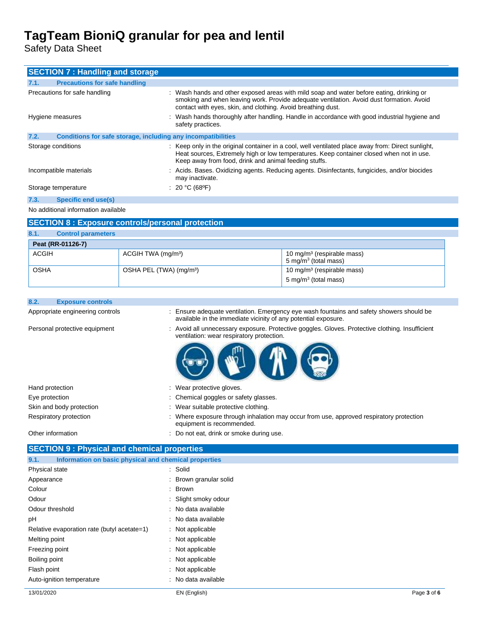Safety Data Sheet

| <b>SECTION 7: Handling and storage</b>                               |                                                                                                                                                                                                                                                         |
|----------------------------------------------------------------------|---------------------------------------------------------------------------------------------------------------------------------------------------------------------------------------------------------------------------------------------------------|
| <b>Precautions for safe handling</b><br>7.1.                         |                                                                                                                                                                                                                                                         |
| Precautions for safe handling                                        | : Wash hands and other exposed areas with mild soap and water before eating, drinking or<br>smoking and when leaving work. Provide adequate ventilation. Avoid dust formation. Avoid<br>contact with eyes, skin, and clothing. Avoid breathing dust.    |
| Hygiene measures                                                     | : Wash hands thoroughly after handling. Handle in accordance with good industrial hygiene and<br>safety practices.                                                                                                                                      |
| 7.2.<br>Conditions for safe storage, including any incompatibilities |                                                                                                                                                                                                                                                         |
| Storage conditions                                                   | : Keep only in the original container in a cool, well ventilated place away from: Direct sunlight,<br>Heat sources, Extremely high or low temperatures. Keep container closed when not in use.<br>Keep away from food, drink and animal feeding stuffs. |
| Incompatible materials                                               | : Acids. Bases. Oxidizing agents. Reducing agents. Disinfectants, fungicides, and/or biocides<br>may inactivate.                                                                                                                                        |
| Storage temperature                                                  | : 20 °C (68°F)                                                                                                                                                                                                                                          |
| <b>Specific end use(s)</b><br>7.3.                                   |                                                                                                                                                                                                                                                         |
| No additional information available                                  |                                                                                                                                                                                                                                                         |
| <b>SECTION 8: Exposure controls/personal protection</b>              |                                                                                                                                                                                                                                                         |
| <b>Control parameters</b><br>8.1.                                    |                                                                                                                                                                                                                                                         |
| <b>Doot /DD 04496 7)</b>                                             |                                                                                                                                                                                                                                                         |

| Peat (RR-01126-7) |                                     |                                                                     |
|-------------------|-------------------------------------|---------------------------------------------------------------------|
| <b>ACGIH</b>      | ACGIH TWA (mg/m <sup>3</sup> )      | 10 mg/m <sup>3</sup> (respirable mass)<br>, 5 mg/m $3$ (total mass) |
| <b>OSHA</b>       | OSHA PEL (TWA) (mg/m <sup>3</sup> ) | 10 mg/m <sup>3</sup> (respirable mass)                              |
|                   |                                     | 5 mg/m $3$ (total mass)                                             |

| 8.2. | <b>Exposure controls</b> |
|------|--------------------------|
|------|--------------------------|

Appropriate engineering controls : Ensure adequate ventilation. Emergency eye wash fountains and safety showers should be available in the immediate vicinity of any potential exposure.

Personal protective equipment : Avoid all unnecessary exposure. Protective goggles. Gloves. Protective clothing. Insufficient ventilation: wear respiratory protection.



| Hand protection          | : Wear protective gloves.                                                                                            |
|--------------------------|----------------------------------------------------------------------------------------------------------------------|
| Eye protection           | : Chemical goggles or safety glasses.                                                                                |
| Skin and body protection | Wear suitable protective clothing.                                                                                   |
| Respiratory protection   | : Where exposure through inhalation may occur from use, approved respiratory protection<br>equipment is recommended. |

| Other information | : Do not eat, drink or smoke during use. |
|-------------------|------------------------------------------|
|                   |                                          |

#### **SECTION 9 : Physical and chemical properties**

| Information on basic physical and chemical properties<br>9.1. |                        |
|---------------------------------------------------------------|------------------------|
| Physical state                                                | : Solid                |
| Appearance                                                    | : Brown granular solid |
| Colour                                                        | : Brown                |
| Odour                                                         | : Slight smoky odour   |
| Odour threshold                                               | : No data available    |
| рH                                                            | : No data available    |
| Relative evaporation rate (butyl acetate=1)                   | : Not applicable       |
| Melting point                                                 | : Not applicable       |
| Freezing point                                                | : Not applicable       |
| Boiling point                                                 | : Not applicable       |
| Flash point                                                   | : Not applicable       |
| Auto-ignition temperature                                     | : No data available    |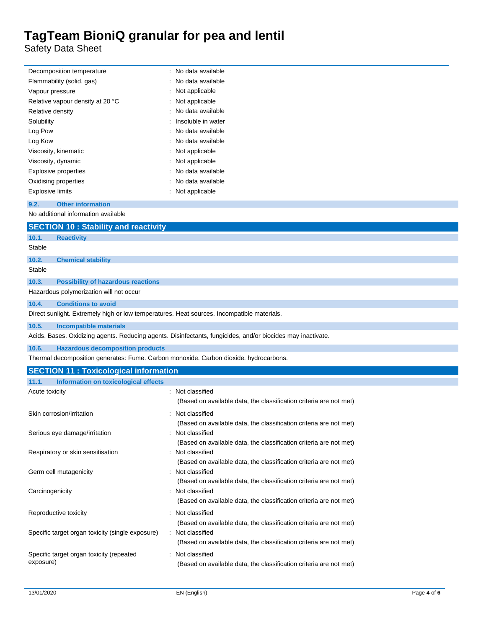Safety Data Sheet

| Flammability (solid, gas)<br>No data available<br>Vapour pressure<br>Not applicable<br>Not applicable<br>Relative vapour density at 20 °C<br>No data available<br>Relative density<br>Insoluble in water<br>Solubility<br>Log Pow<br>No data available<br>Log Kow<br>No data available<br>Not applicable<br>Viscosity, kinematic<br>Viscosity, dynamic<br>: Not applicable<br>No data available<br>Explosive properties<br>No data available<br>Oxidising properties<br>: Not applicable<br><b>Explosive limits</b><br><b>Other information</b><br>9.2.<br>No additional information available<br><b>SECTION 10: Stability and reactivity</b><br>10.1.<br><b>Reactivity</b><br>Stable<br>10.2.<br><b>Chemical stability</b><br>Stable<br>10.3.<br><b>Possibility of hazardous reactions</b><br>Hazardous polymerization will not occur<br>10.4.<br><b>Conditions to avoid</b><br>Direct sunlight. Extremely high or low temperatures. Heat sources. Incompatible materials.<br>10.5.<br><b>Incompatible materials</b><br>Acids. Bases. Oxidizing agents. Reducing agents. Disinfectants, fungicides, and/or biocides may inactivate.<br>10.6.<br><b>Hazardous decomposition products</b><br>Thermal decomposition generates: Fume. Carbon monoxide. Carbon dioxide. hydrocarbons.<br><b>SECTION 11: Toxicological information</b><br>11.1.<br><b>Information on toxicological effects</b><br>: Not classified<br>Acute toxicity<br>(Based on available data, the classification criteria are not met)<br>Skin corrosion/irritation<br>: Not classified<br>(Based on available data, the classification criteria are not met)<br>Serious eye damage/irritation<br>: Not classified<br>(Based on available data, the classification criteria are not met)<br>Respiratory or skin sensitisation<br>: Not classified<br>(Based on available data, the classification criteria are not met)<br>Germ cell mutagenicity<br>: Not classified |                                                  |                                                                                        |
|--------------------------------------------------------------------------------------------------------------------------------------------------------------------------------------------------------------------------------------------------------------------------------------------------------------------------------------------------------------------------------------------------------------------------------------------------------------------------------------------------------------------------------------------------------------------------------------------------------------------------------------------------------------------------------------------------------------------------------------------------------------------------------------------------------------------------------------------------------------------------------------------------------------------------------------------------------------------------------------------------------------------------------------------------------------------------------------------------------------------------------------------------------------------------------------------------------------------------------------------------------------------------------------------------------------------------------------------------------------------------------------------------------------------------------------------------------------------------------------------------------------------------------------------------------------------------------------------------------------------------------------------------------------------------------------------------------------------------------------------------------------------------------------------------------------------------------------------------------------------------------------------------------------------------------------|--------------------------------------------------|----------------------------------------------------------------------------------------|
|                                                                                                                                                                                                                                                                                                                                                                                                                                                                                                                                                                                                                                                                                                                                                                                                                                                                                                                                                                                                                                                                                                                                                                                                                                                                                                                                                                                                                                                                                                                                                                                                                                                                                                                                                                                                                                                                                                                                      |                                                  |                                                                                        |
|                                                                                                                                                                                                                                                                                                                                                                                                                                                                                                                                                                                                                                                                                                                                                                                                                                                                                                                                                                                                                                                                                                                                                                                                                                                                                                                                                                                                                                                                                                                                                                                                                                                                                                                                                                                                                                                                                                                                      |                                                  |                                                                                        |
|                                                                                                                                                                                                                                                                                                                                                                                                                                                                                                                                                                                                                                                                                                                                                                                                                                                                                                                                                                                                                                                                                                                                                                                                                                                                                                                                                                                                                                                                                                                                                                                                                                                                                                                                                                                                                                                                                                                                      |                                                  |                                                                                        |
|                                                                                                                                                                                                                                                                                                                                                                                                                                                                                                                                                                                                                                                                                                                                                                                                                                                                                                                                                                                                                                                                                                                                                                                                                                                                                                                                                                                                                                                                                                                                                                                                                                                                                                                                                                                                                                                                                                                                      |                                                  |                                                                                        |
|                                                                                                                                                                                                                                                                                                                                                                                                                                                                                                                                                                                                                                                                                                                                                                                                                                                                                                                                                                                                                                                                                                                                                                                                                                                                                                                                                                                                                                                                                                                                                                                                                                                                                                                                                                                                                                                                                                                                      |                                                  |                                                                                        |
|                                                                                                                                                                                                                                                                                                                                                                                                                                                                                                                                                                                                                                                                                                                                                                                                                                                                                                                                                                                                                                                                                                                                                                                                                                                                                                                                                                                                                                                                                                                                                                                                                                                                                                                                                                                                                                                                                                                                      |                                                  |                                                                                        |
|                                                                                                                                                                                                                                                                                                                                                                                                                                                                                                                                                                                                                                                                                                                                                                                                                                                                                                                                                                                                                                                                                                                                                                                                                                                                                                                                                                                                                                                                                                                                                                                                                                                                                                                                                                                                                                                                                                                                      |                                                  |                                                                                        |
|                                                                                                                                                                                                                                                                                                                                                                                                                                                                                                                                                                                                                                                                                                                                                                                                                                                                                                                                                                                                                                                                                                                                                                                                                                                                                                                                                                                                                                                                                                                                                                                                                                                                                                                                                                                                                                                                                                                                      |                                                  |                                                                                        |
|                                                                                                                                                                                                                                                                                                                                                                                                                                                                                                                                                                                                                                                                                                                                                                                                                                                                                                                                                                                                                                                                                                                                                                                                                                                                                                                                                                                                                                                                                                                                                                                                                                                                                                                                                                                                                                                                                                                                      |                                                  |                                                                                        |
|                                                                                                                                                                                                                                                                                                                                                                                                                                                                                                                                                                                                                                                                                                                                                                                                                                                                                                                                                                                                                                                                                                                                                                                                                                                                                                                                                                                                                                                                                                                                                                                                                                                                                                                                                                                                                                                                                                                                      |                                                  |                                                                                        |
|                                                                                                                                                                                                                                                                                                                                                                                                                                                                                                                                                                                                                                                                                                                                                                                                                                                                                                                                                                                                                                                                                                                                                                                                                                                                                                                                                                                                                                                                                                                                                                                                                                                                                                                                                                                                                                                                                                                                      |                                                  |                                                                                        |
|                                                                                                                                                                                                                                                                                                                                                                                                                                                                                                                                                                                                                                                                                                                                                                                                                                                                                                                                                                                                                                                                                                                                                                                                                                                                                                                                                                                                                                                                                                                                                                                                                                                                                                                                                                                                                                                                                                                                      |                                                  |                                                                                        |
|                                                                                                                                                                                                                                                                                                                                                                                                                                                                                                                                                                                                                                                                                                                                                                                                                                                                                                                                                                                                                                                                                                                                                                                                                                                                                                                                                                                                                                                                                                                                                                                                                                                                                                                                                                                                                                                                                                                                      |                                                  |                                                                                        |
|                                                                                                                                                                                                                                                                                                                                                                                                                                                                                                                                                                                                                                                                                                                                                                                                                                                                                                                                                                                                                                                                                                                                                                                                                                                                                                                                                                                                                                                                                                                                                                                                                                                                                                                                                                                                                                                                                                                                      |                                                  |                                                                                        |
|                                                                                                                                                                                                                                                                                                                                                                                                                                                                                                                                                                                                                                                                                                                                                                                                                                                                                                                                                                                                                                                                                                                                                                                                                                                                                                                                                                                                                                                                                                                                                                                                                                                                                                                                                                                                                                                                                                                                      |                                                  |                                                                                        |
|                                                                                                                                                                                                                                                                                                                                                                                                                                                                                                                                                                                                                                                                                                                                                                                                                                                                                                                                                                                                                                                                                                                                                                                                                                                                                                                                                                                                                                                                                                                                                                                                                                                                                                                                                                                                                                                                                                                                      |                                                  |                                                                                        |
|                                                                                                                                                                                                                                                                                                                                                                                                                                                                                                                                                                                                                                                                                                                                                                                                                                                                                                                                                                                                                                                                                                                                                                                                                                                                                                                                                                                                                                                                                                                                                                                                                                                                                                                                                                                                                                                                                                                                      |                                                  |                                                                                        |
|                                                                                                                                                                                                                                                                                                                                                                                                                                                                                                                                                                                                                                                                                                                                                                                                                                                                                                                                                                                                                                                                                                                                                                                                                                                                                                                                                                                                                                                                                                                                                                                                                                                                                                                                                                                                                                                                                                                                      |                                                  |                                                                                        |
|                                                                                                                                                                                                                                                                                                                                                                                                                                                                                                                                                                                                                                                                                                                                                                                                                                                                                                                                                                                                                                                                                                                                                                                                                                                                                                                                                                                                                                                                                                                                                                                                                                                                                                                                                                                                                                                                                                                                      |                                                  |                                                                                        |
|                                                                                                                                                                                                                                                                                                                                                                                                                                                                                                                                                                                                                                                                                                                                                                                                                                                                                                                                                                                                                                                                                                                                                                                                                                                                                                                                                                                                                                                                                                                                                                                                                                                                                                                                                                                                                                                                                                                                      |                                                  |                                                                                        |
|                                                                                                                                                                                                                                                                                                                                                                                                                                                                                                                                                                                                                                                                                                                                                                                                                                                                                                                                                                                                                                                                                                                                                                                                                                                                                                                                                                                                                                                                                                                                                                                                                                                                                                                                                                                                                                                                                                                                      |                                                  |                                                                                        |
|                                                                                                                                                                                                                                                                                                                                                                                                                                                                                                                                                                                                                                                                                                                                                                                                                                                                                                                                                                                                                                                                                                                                                                                                                                                                                                                                                                                                                                                                                                                                                                                                                                                                                                                                                                                                                                                                                                                                      |                                                  |                                                                                        |
|                                                                                                                                                                                                                                                                                                                                                                                                                                                                                                                                                                                                                                                                                                                                                                                                                                                                                                                                                                                                                                                                                                                                                                                                                                                                                                                                                                                                                                                                                                                                                                                                                                                                                                                                                                                                                                                                                                                                      |                                                  |                                                                                        |
|                                                                                                                                                                                                                                                                                                                                                                                                                                                                                                                                                                                                                                                                                                                                                                                                                                                                                                                                                                                                                                                                                                                                                                                                                                                                                                                                                                                                                                                                                                                                                                                                                                                                                                                                                                                                                                                                                                                                      |                                                  |                                                                                        |
|                                                                                                                                                                                                                                                                                                                                                                                                                                                                                                                                                                                                                                                                                                                                                                                                                                                                                                                                                                                                                                                                                                                                                                                                                                                                                                                                                                                                                                                                                                                                                                                                                                                                                                                                                                                                                                                                                                                                      |                                                  |                                                                                        |
|                                                                                                                                                                                                                                                                                                                                                                                                                                                                                                                                                                                                                                                                                                                                                                                                                                                                                                                                                                                                                                                                                                                                                                                                                                                                                                                                                                                                                                                                                                                                                                                                                                                                                                                                                                                                                                                                                                                                      |                                                  |                                                                                        |
|                                                                                                                                                                                                                                                                                                                                                                                                                                                                                                                                                                                                                                                                                                                                                                                                                                                                                                                                                                                                                                                                                                                                                                                                                                                                                                                                                                                                                                                                                                                                                                                                                                                                                                                                                                                                                                                                                                                                      |                                                  |                                                                                        |
|                                                                                                                                                                                                                                                                                                                                                                                                                                                                                                                                                                                                                                                                                                                                                                                                                                                                                                                                                                                                                                                                                                                                                                                                                                                                                                                                                                                                                                                                                                                                                                                                                                                                                                                                                                                                                                                                                                                                      |                                                  |                                                                                        |
|                                                                                                                                                                                                                                                                                                                                                                                                                                                                                                                                                                                                                                                                                                                                                                                                                                                                                                                                                                                                                                                                                                                                                                                                                                                                                                                                                                                                                                                                                                                                                                                                                                                                                                                                                                                                                                                                                                                                      |                                                  |                                                                                        |
|                                                                                                                                                                                                                                                                                                                                                                                                                                                                                                                                                                                                                                                                                                                                                                                                                                                                                                                                                                                                                                                                                                                                                                                                                                                                                                                                                                                                                                                                                                                                                                                                                                                                                                                                                                                                                                                                                                                                      |                                                  |                                                                                        |
|                                                                                                                                                                                                                                                                                                                                                                                                                                                                                                                                                                                                                                                                                                                                                                                                                                                                                                                                                                                                                                                                                                                                                                                                                                                                                                                                                                                                                                                                                                                                                                                                                                                                                                                                                                                                                                                                                                                                      |                                                  |                                                                                        |
|                                                                                                                                                                                                                                                                                                                                                                                                                                                                                                                                                                                                                                                                                                                                                                                                                                                                                                                                                                                                                                                                                                                                                                                                                                                                                                                                                                                                                                                                                                                                                                                                                                                                                                                                                                                                                                                                                                                                      |                                                  |                                                                                        |
|                                                                                                                                                                                                                                                                                                                                                                                                                                                                                                                                                                                                                                                                                                                                                                                                                                                                                                                                                                                                                                                                                                                                                                                                                                                                                                                                                                                                                                                                                                                                                                                                                                                                                                                                                                                                                                                                                                                                      |                                                  |                                                                                        |
|                                                                                                                                                                                                                                                                                                                                                                                                                                                                                                                                                                                                                                                                                                                                                                                                                                                                                                                                                                                                                                                                                                                                                                                                                                                                                                                                                                                                                                                                                                                                                                                                                                                                                                                                                                                                                                                                                                                                      |                                                  |                                                                                        |
|                                                                                                                                                                                                                                                                                                                                                                                                                                                                                                                                                                                                                                                                                                                                                                                                                                                                                                                                                                                                                                                                                                                                                                                                                                                                                                                                                                                                                                                                                                                                                                                                                                                                                                                                                                                                                                                                                                                                      |                                                  |                                                                                        |
|                                                                                                                                                                                                                                                                                                                                                                                                                                                                                                                                                                                                                                                                                                                                                                                                                                                                                                                                                                                                                                                                                                                                                                                                                                                                                                                                                                                                                                                                                                                                                                                                                                                                                                                                                                                                                                                                                                                                      |                                                  |                                                                                        |
|                                                                                                                                                                                                                                                                                                                                                                                                                                                                                                                                                                                                                                                                                                                                                                                                                                                                                                                                                                                                                                                                                                                                                                                                                                                                                                                                                                                                                                                                                                                                                                                                                                                                                                                                                                                                                                                                                                                                      |                                                  |                                                                                        |
|                                                                                                                                                                                                                                                                                                                                                                                                                                                                                                                                                                                                                                                                                                                                                                                                                                                                                                                                                                                                                                                                                                                                                                                                                                                                                                                                                                                                                                                                                                                                                                                                                                                                                                                                                                                                                                                                                                                                      |                                                  |                                                                                        |
|                                                                                                                                                                                                                                                                                                                                                                                                                                                                                                                                                                                                                                                                                                                                                                                                                                                                                                                                                                                                                                                                                                                                                                                                                                                                                                                                                                                                                                                                                                                                                                                                                                                                                                                                                                                                                                                                                                                                      |                                                  |                                                                                        |
|                                                                                                                                                                                                                                                                                                                                                                                                                                                                                                                                                                                                                                                                                                                                                                                                                                                                                                                                                                                                                                                                                                                                                                                                                                                                                                                                                                                                                                                                                                                                                                                                                                                                                                                                                                                                                                                                                                                                      |                                                  |                                                                                        |
|                                                                                                                                                                                                                                                                                                                                                                                                                                                                                                                                                                                                                                                                                                                                                                                                                                                                                                                                                                                                                                                                                                                                                                                                                                                                                                                                                                                                                                                                                                                                                                                                                                                                                                                                                                                                                                                                                                                                      |                                                  | (Based on available data, the classification criteria are not met)                     |
|                                                                                                                                                                                                                                                                                                                                                                                                                                                                                                                                                                                                                                                                                                                                                                                                                                                                                                                                                                                                                                                                                                                                                                                                                                                                                                                                                                                                                                                                                                                                                                                                                                                                                                                                                                                                                                                                                                                                      | Carcinogenicity                                  | : Not classified                                                                       |
|                                                                                                                                                                                                                                                                                                                                                                                                                                                                                                                                                                                                                                                                                                                                                                                                                                                                                                                                                                                                                                                                                                                                                                                                                                                                                                                                                                                                                                                                                                                                                                                                                                                                                                                                                                                                                                                                                                                                      |                                                  | (Based on available data, the classification criteria are not met)                     |
|                                                                                                                                                                                                                                                                                                                                                                                                                                                                                                                                                                                                                                                                                                                                                                                                                                                                                                                                                                                                                                                                                                                                                                                                                                                                                                                                                                                                                                                                                                                                                                                                                                                                                                                                                                                                                                                                                                                                      | Reproductive toxicity                            | : Not classified                                                                       |
|                                                                                                                                                                                                                                                                                                                                                                                                                                                                                                                                                                                                                                                                                                                                                                                                                                                                                                                                                                                                                                                                                                                                                                                                                                                                                                                                                                                                                                                                                                                                                                                                                                                                                                                                                                                                                                                                                                                                      |                                                  | (Based on available data, the classification criteria are not met)                     |
| Specific target organ toxicity (repeated<br>: Not classified                                                                                                                                                                                                                                                                                                                                                                                                                                                                                                                                                                                                                                                                                                                                                                                                                                                                                                                                                                                                                                                                                                                                                                                                                                                                                                                                                                                                                                                                                                                                                                                                                                                                                                                                                                                                                                                                         | Specific target organ toxicity (single exposure) | : Not classified<br>(Based on available data, the classification criteria are not met) |

(Based on available data, the classification criteria are not met)

Specific target organ toxicity (repeated exposure)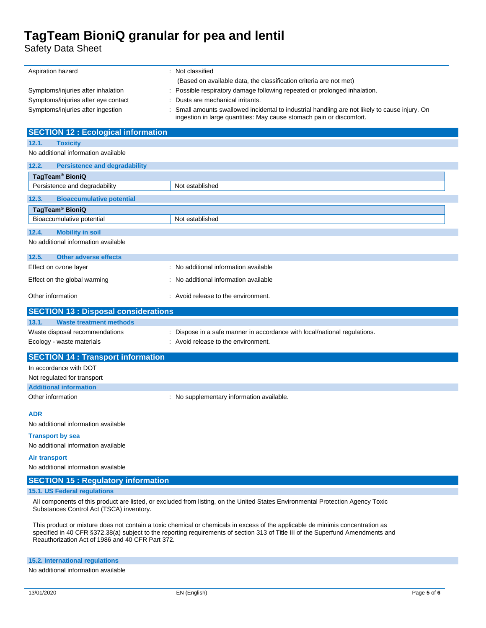Safety Data Sheet

| Aspiration hazard                                                                                                               | : Not classified                                                                                                                                                     |  |  |  |
|---------------------------------------------------------------------------------------------------------------------------------|----------------------------------------------------------------------------------------------------------------------------------------------------------------------|--|--|--|
|                                                                                                                                 | (Based on available data, the classification criteria are not met)                                                                                                   |  |  |  |
| Symptoms/injuries after inhalation                                                                                              | : Possible respiratory damage following repeated or prolonged inhalation.                                                                                            |  |  |  |
| Symptoms/injuries after eye contact                                                                                             | Dusts are mechanical irritants.                                                                                                                                      |  |  |  |
| Symptoms/injuries after ingestion                                                                                               | Small amounts swallowed incidental to industrial handling are not likely to cause injury. On<br>ingestion in large quantities: May cause stomach pain or discomfort. |  |  |  |
| <b>SECTION 12 : Ecological information</b>                                                                                      |                                                                                                                                                                      |  |  |  |
| 12.1.<br><b>Toxicity</b>                                                                                                        |                                                                                                                                                                      |  |  |  |
| No additional information available                                                                                             |                                                                                                                                                                      |  |  |  |
| 12.2.<br><b>Persistence and degradability</b>                                                                                   |                                                                                                                                                                      |  |  |  |
| TagTeam <sup>®</sup> BioniQ                                                                                                     |                                                                                                                                                                      |  |  |  |
| Persistence and degradability                                                                                                   | Not established                                                                                                                                                      |  |  |  |
| 12.3.<br><b>Bioaccumulative potential</b>                                                                                       |                                                                                                                                                                      |  |  |  |
| TagTeam <sup>®</sup> BioniQ                                                                                                     |                                                                                                                                                                      |  |  |  |
| Bioaccumulative potential                                                                                                       | Not established                                                                                                                                                      |  |  |  |
| 12.4.<br><b>Mobility in soil</b>                                                                                                |                                                                                                                                                                      |  |  |  |
| No additional information available                                                                                             |                                                                                                                                                                      |  |  |  |
| 12.5.<br><b>Other adverse effects</b>                                                                                           |                                                                                                                                                                      |  |  |  |
| Effect on ozone layer                                                                                                           | : No additional information available                                                                                                                                |  |  |  |
| Effect on the global warming                                                                                                    | : No additional information available                                                                                                                                |  |  |  |
| Other information                                                                                                               | : Avoid release to the environment.                                                                                                                                  |  |  |  |
| <b>SECTION 13 : Disposal considerations</b>                                                                                     |                                                                                                                                                                      |  |  |  |
| 13.1.<br><b>Waste treatment methods</b>                                                                                         |                                                                                                                                                                      |  |  |  |
| Waste disposal recommendations                                                                                                  | : Dispose in a safe manner in accordance with local/national regulations.                                                                                            |  |  |  |
| Ecology - waste materials                                                                                                       | : Avoid release to the environment.                                                                                                                                  |  |  |  |
| <b>SECTION 14 : Transport information</b>                                                                                       |                                                                                                                                                                      |  |  |  |
| In accordance with DOT                                                                                                          |                                                                                                                                                                      |  |  |  |
| Not regulated for transport                                                                                                     |                                                                                                                                                                      |  |  |  |
| <b>Additional information</b>                                                                                                   |                                                                                                                                                                      |  |  |  |
| Other information                                                                                                               | : No supplementary information available.                                                                                                                            |  |  |  |
| <b>ADR</b>                                                                                                                      |                                                                                                                                                                      |  |  |  |
| No additional information available                                                                                             |                                                                                                                                                                      |  |  |  |
| <b>Transport by sea</b>                                                                                                         |                                                                                                                                                                      |  |  |  |
| No additional information available                                                                                             |                                                                                                                                                                      |  |  |  |
| <b>Air transport</b>                                                                                                            |                                                                                                                                                                      |  |  |  |
| No additional information available                                                                                             |                                                                                                                                                                      |  |  |  |
| <b>SECTION 15: Regulatory information</b>                                                                                       |                                                                                                                                                                      |  |  |  |
| 15.1. US Federal regulations                                                                                                    |                                                                                                                                                                      |  |  |  |
| All components of this product are listed, or excluded from listing, on the United States Environmental Protection Agency Toxic |                                                                                                                                                                      |  |  |  |
| Substances Control Act (TSCA) inventory.                                                                                        |                                                                                                                                                                      |  |  |  |

This product or mixture does not contain a toxic chemical or chemicals in excess of the applicable de minimis concentration as specified in 40 CFR §372.38(a) subject to the reporting requirements of section 313 of Title III of the Superfund Amendments and Reauthorization Act of 1986 and 40 CFR Part 372.

**15.2. International regulations**

No additional information available